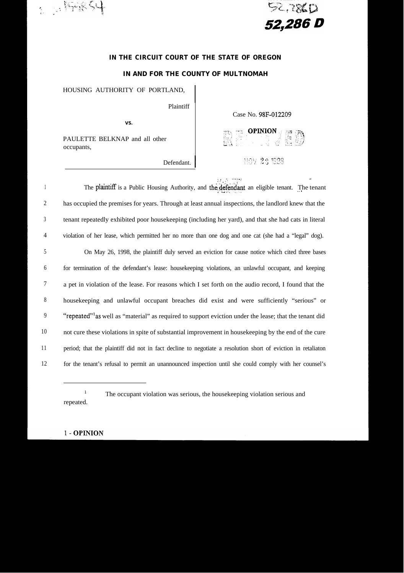



.,

# **IN THE CIRCUIT COURT OF THE STATE OF OREGON**

### **IN AND FOR THE COUNTY OF MULTNOMAH**

HOUSING AUTHORITY OF PORTLAND,

Plaintiff

**VS.**

PAULETTE BELKNAP and all other occupants,

Defendant.

Case No. 98F-012209

**DE OPINION CONTROL** 

NOV 25 1998

 $\sqrt{p} - \gamma$  ,  $\sim$  -  $\sim$ 

1 2 3 4 5 6 7 8 9 10 11 12  $\mathcal{F}_{\mathcal{F}}$ The plaintiff is a Public Housing Authority, and the defendant an eligible tenant. The tenant has occupied the premises for years. Through at least annual inspections, the landlord knew that the tenant repeatedly exhibited poor housekeeping (including her yard), and that she had cats in literal violation of her lease, which permitted her no more than one dog and one cat (she had a "legal" dog). On May 26, 1998, the plaintiff duly served an eviction for cause notice which cited three bases for termination of the defendant's lease: housekeeping violations, an unlawful occupant, and keeping a pet in violation of the lease. For reasons which I set forth on the audio record, I found that the housekeeping and unlawful occupant breaches did exist and were sufficiently "serious" or "repeated" as well as "material" as required to support eviction under the lease; that the tenant did not cure these violations in spite of substantial improvement in housekeeping by the end of the cure period; that the plaintiff did not in fact decline to negotiate a resolution short of eviction in retaliaton for the tenant's refusal to permit an unannounced inspection until she could comply with her counsel's

**1** repeated. The occupant violation was serious, the housekeeping violation serious and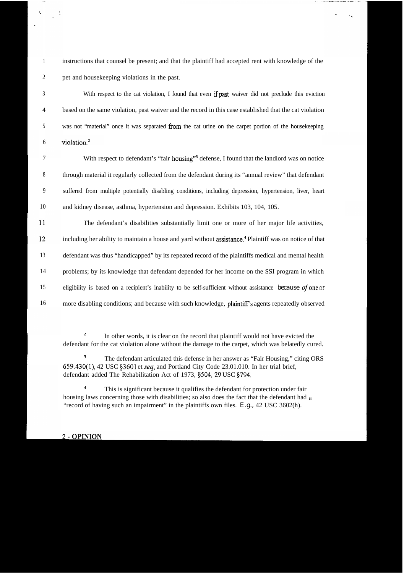1 2 instructions that counsel be present; and that the plaintiff had accepted rent with knowledge of the pet and housekeeping violations in the past.

3 With respect to the cat violation, I found that even if past waiver did not preclude this eviction 4 based on the same violation, past waiver and the record in this case established that the cat violation 5 was not "material" once it was separated from the cat urine on the carpet portion of the housekeeping 6 violation.<sup>2</sup>

7 8 9 10 With respect to defendant's "fair housing"<sup>3</sup> defense, I found that the landlord was on notice through material it regularly collected from the defendant during its "annual review" that defendant suffered from multiple potentially disabling conditions, including depression, hypertension, liver, heart and kidney disease, asthma, hypertension and depression. Exhibits 103, 104, 105.

11 The defendant's disabilities substantially limit one or more of her major life activities, including her ability to maintain a house and yard without assistance.<sup>4</sup> Plaintiff was on notice of that  $12$ 13 defendant was thus "handicapped" by its repeated record of the plaintiffs medical and mental health 14 problems; by its knowledge that defendant depended for her income on the SSI program in which 15 eligibility is based on a recipient's inability to be self-sufficient without assistance *because of* one or 16 more disabling conditions; and because with such knowledge, plaintiff's agents repeatedly observed

<sup>2</sup> In other words, it is clear on the record that plaintiff would not have evicted the defendant for the cat violation alone without the damage to the carpet, which was belatedly cured.

<sup>&</sup>lt;sup>3</sup> The defendant articulated this defense in her answer as "Fair Housing," citing ORS 659.430(l), 42 USC \$3601 et seq, and Portland City Code 23.01.010. In her trial brief, defendant added The Rehabilitation Act of 1973, §504, 29 USC §794.

<sup>&</sup>lt;sup>4</sup> This is significant because it qualifies the defendant for protection under fair housing laws concerning those with disabilities; so also does the fact that the defendant had a"record of having such an impairment" in the plaintiffs own files. *E.g.*, 42 USC 3602(h).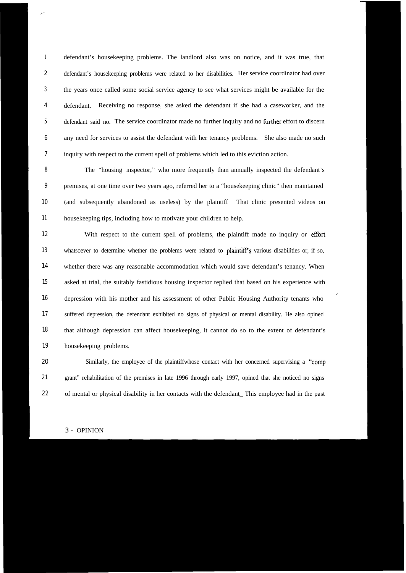1 2 3 4 5 6 7 defendant's housekeeping problems. The landlord also was on notice, and it was true, that defendant's housekeeping problems were related to her disabilities. Her service coordinator had over the years once called some social service agency to see what services might be available for the defendant. Receiving no response, she asked the defendant if she had a caseworker, and the defendant said no. The service coordinator made no further inquiry and no further effort to discern any need for services to assist the defendant with her tenancy problems. She also made no such inquiry with respect to the current spell of problems which led to this eviction action.

8 9 10 11 The "housing inspector," who more frequently than annually inspected the defendant's premises, at one time over two years ago, referred her to a "housekeeping clinic" then maintained (and subsequently abandoned as useless) by the plaintiff That clinic presented videos on housekeeping tips, including how to motivate your children to help.

12 13 14 15 16 17 18 19 With respect to the current spell of problems, the plaintiff made no inquiry or effort whatsoever to determine whether the problems were related to plaintiff's various disabilities or, if so, whether there was any reasonable accommodation which would save defendant's tenancy. When asked at trial, the suitably fastidious housing inspector replied that based on his experience with depression with his mother and his assessment of other Public Housing Authority tenants who ' suffered depression, the defendant exhibited no signs of physical or mental disability. He also opined that although depression can affect housekeeping, it cannot do so to the extent of defendant's housekeeping problems.

20 21 22 Similarly, the employee of the plaintiffwhose contact with her concerned supervising a "comp grant" rehabilitation of the premises in late 1996 through early 1997, opined that she noticed no signs of mental or physical disability in her contacts with the defendant\_ This employee had in the past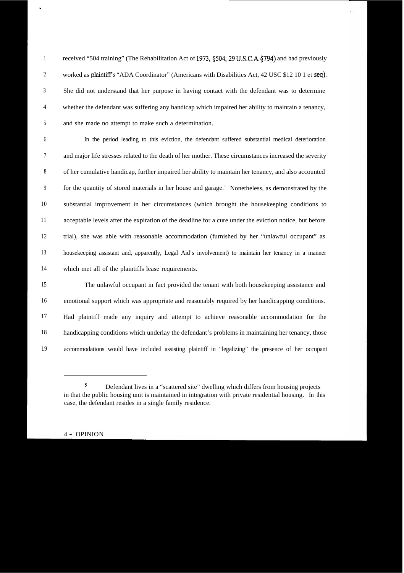1 2 3 4 5 received "504 training" (The Rehabilitation Act of 1973, §504, 29 U.S.C.A. §794) and had previously worked as plaintiff's "ADA Coordinator" (Americans with Disabilities Act, 42 USC \$12 10 1 et seq). She did not understand that her purpose in having contact with the defendant was to determine whether the defendant was suffering any handicap which impaired her ability to maintain a tenancy, and she made no attempt to make such a determination.

6 7 8 9 10 11 12 13 14 In the period leading to this eviction, the defendant suffered substantial medical deterioration and major life stresses related to the death of her mother. These circumstances increased the severity of her cumulative handicap, further impaired her ability to maintain her tenancy, and also accounted for the quantity of stored materials in her house and garage.' Nonetheless, as demonstrated by the substantial improvement in her circumstances (which brought the housekeeping conditions to acceptable levels after the expiration of the deadline for a cure under the eviction notice, but before trial), she was able with reasonable accommodation (furnished by her "unlawful occupant" as housekeeping assistant and, apparently, Legal Aid's involvement) to maintain her tenancy in a manner which met all of the plaintiffs lease requirements.

15 16 17 18 19 The unlawful occupant in fact provided the tenant with both housekeeping assistance and emotional support which was appropriate and reasonably required by her handicapping conditions. Had plaintiff made any inquiry and attempt to achieve reasonable accommodation for the handicapping conditions which underlay the defendant's problems in maintaining her tenancy, those accommodations would have included assisting plaintiff in "legalizing" the presence of her occupant

# 4 - OPINION

.

<sup>5</sup> Defendant lives in a "scattered site" dwelling which differs from housing projects in that the public housing unit is maintained in integration with private residential housing. In this case, the defendant resides in a single family residence.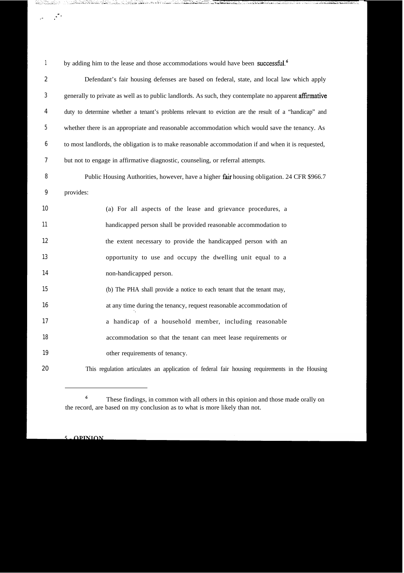1 by adding him to the lease and those accommodations would have been successful.<sup>6</sup>

فبالمستناء والمسام فأناهشت فالقامات

<u>المالان المنظرية والتحاملية المالية المالية المنافسة المريضية المريضية المريضية المريضية المريضية المريضية ال</u>

 $\label{eq:2} \frac{d}{dt} \left( \frac{d}{dt} \right)^2 \frac{d^2}{dt^2}$ 

| $\boldsymbol{2}$ | Defendant's fair housing defenses are based on federal, state, and local law which apply               |
|------------------|--------------------------------------------------------------------------------------------------------|
| 3                | generally to private as well as to public landlords. As such, they contemplate no apparent affirmative |
| 4                | duty to determine whether a tenant's problems relevant to eviction are the result of a "handicap" and  |
| 5                | whether there is an appropriate and reasonable accommodation which would save the tenancy. As          |
| $6\phantom{.0}$  | to most landlords, the obligation is to make reasonable accommodation if and when it is requested,     |
| 7                | but not to engage in affirmative diagnostic, counseling, or referral attempts.                         |
| 8                | Public Housing Authorities, however, have a higher fair housing obligation. 24 CFR \$966.7             |
| 9                | provides:                                                                                              |
| 10               | (a) For all aspects of the lease and grievance procedures, a                                           |
| 11               | handicapped person shall be provided reasonable accommodation to                                       |
| 12               | the extent necessary to provide the handicapped person with an                                         |
| 13               | opportunity to use and occupy the dwelling unit equal to a                                             |
| 14               | non-handicapped person.                                                                                |
| 15               | (b) The PHA shall provide a notice to each tenant that the tenant may,                                 |
| 16               | at any time during the tenancy, request reasonable accommodation of                                    |
| 17               | a handicap of a household member, including reasonable                                                 |
| 18               | accommodation so that the tenant can meet lease requirements or                                        |
| 19               | other requirements of tenancy.                                                                         |
| 20               | This regulation articulates an application of federal fair housing requirements in the Housing         |

#### $\zeta$ **\_OPINION**

<sup>6</sup> These findings, in common with all others in this opinion and those made orally on the record, are based on my conclusion as to what is more likely than not.